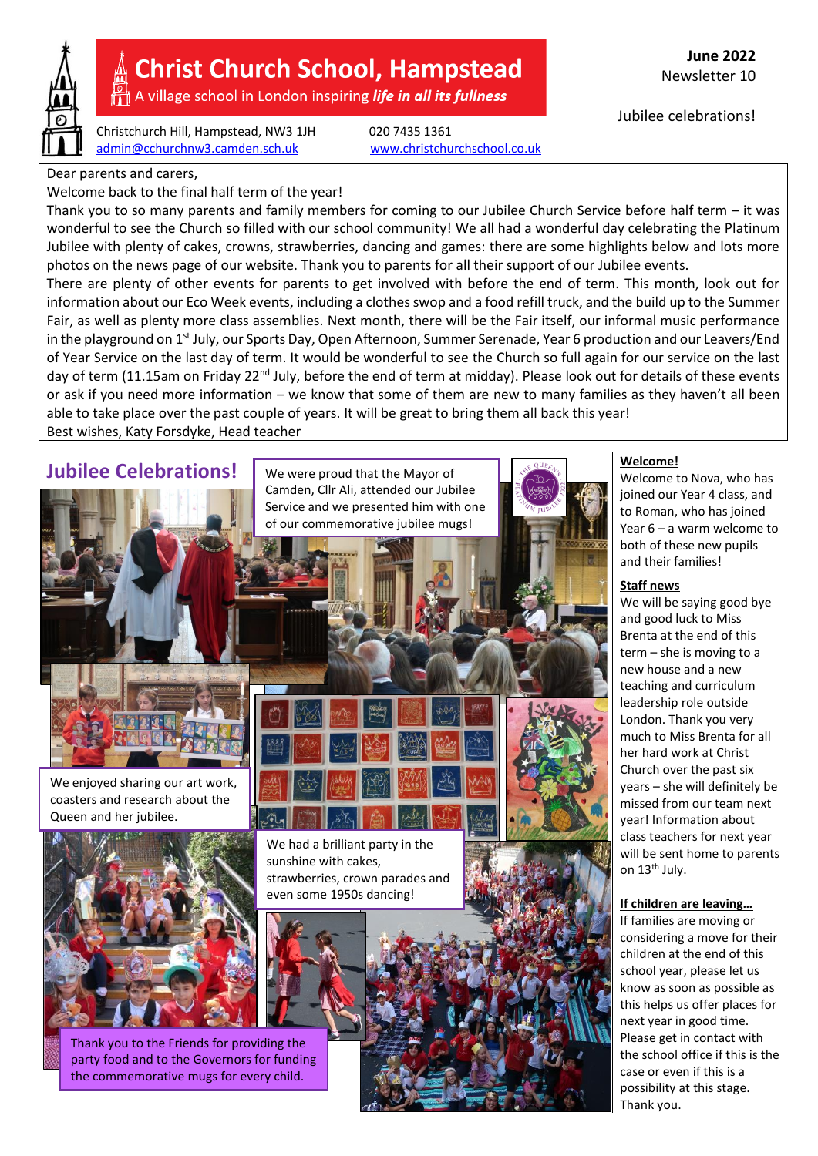

# **Christ Church School, Hampstead**

A village school in London inspiring *life in all its fullness* 

Christchurch Hill, Hampstead, NW3 1JH 020 7435 1361 [admin@cchurchnw3.camden.sch.uk](mailto:admin@cchurchnw3.camden.sch.uk) [www.christchurchschool.co.uk](http://www.christchurchschool.co.uk/)

**June 2022** Newsletter 10

Jubilee celebrations!

Dear parents and carers,

Welcome back to the final half term of the year!

Thank you to so many parents and family members for coming to our Jubilee Church Service before half term – it was wonderful to see the Church so filled with our school community! We all had a wonderful day celebrating the Platinum Jubilee with plenty of cakes, crowns, strawberries, dancing and games: there are some highlights below and lots more photos on the news page of our website. Thank you to parents for all their support of our Jubilee events.

There are plenty of other events for parents to get involved with before the end of term. This month, look out for information about our Eco Week events, including a clothes swop and a food refill truck, and the build up to the Summer Fair, as well as plenty more class assemblies. Next month, there will be the Fair itself, our informal music performance in the playground on  $1^{st}$  July, our Sports Day, Open Afternoon, Summer Serenade, Year 6 production and our Leavers/End of Year Service on the last day of term. It would be wonderful to see the Church so full again for our service on the last day of term (11.15am on Friday 22<sup>nd</sup> July, before the end of term at midday). Please look out for details of these events or ask if you need more information – we know that some of them are new to many families as they haven't all been able to take place over the past couple of years. It will be great to bring them all back this year! Best wishes, Katy Forsdyke, Head teacher

We were proud that the Mayor of

**Jubilee Celebrations!** We were proud that the Mayor of  $\begin{array}{|c|c|c|c|c|c|c|c|}\hline \text{We know that the Mayor of & \textbf{Welcome1} \\\hline \end{array}$ 



We enjoyed sharing our art work, coasters and research about the Queen and her jubilee.



Thank you to the Friends for providing the party food and to the Governors for funding the commemorative mugs for every child.

We had a brilliant party in the sunshine with cakes, strawberries, crown parades and even some 1950s dancing!



Welcome to Nova, who has joined our Year 4 class, and to Roman, who has joined Year 6 – a warm welcome to both of these new pupils and their families!

#### **Staff news**

We will be saying good bye and good luck to Miss Brenta at the end of this term – she is moving to a new house and a new teaching and curriculum leadership role outside London. Thank you very much to Miss Brenta for all her hard work at Christ Church over the past six years – she will definitely be missed from our team next year! Information about class teachers for next year will be sent home to parents on 13<sup>th</sup> July.

#### **If children are leaving…**

If families are moving or considering a move for their children at the end of this school year, please let us know as soon as possible as this helps us offer places for next year in good time. Please get in contact with the school office if this is the case or even if this is a possibility at this stage. Thank you.